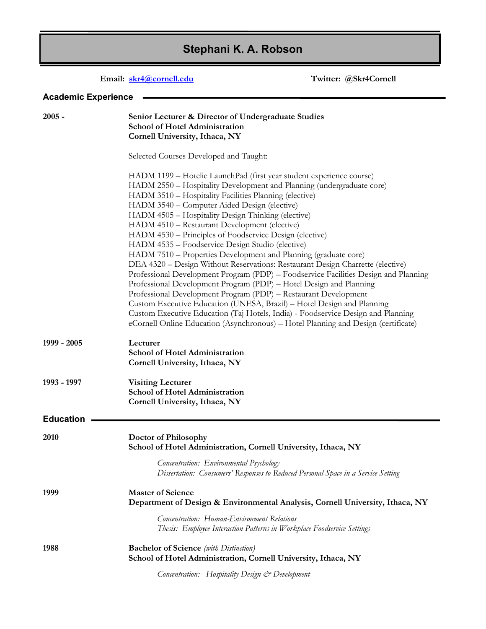# **Stephani K. A. Robson**

# **Email: [skr4@cornell.edu](mailto:skr4@cornell.edu) Twitter: @Skr4Cornell**

# **Academic Experience**

| $2005 -$         | Senior Lecturer & Director of Undergraduate Studies<br><b>School of Hotel Administration</b><br>Cornell University, Ithaca, NY                                                                                                                                                                                                                                                                                                                                                                                                                                                                                                                                                                                                                                                                                                                                                                                                                                                                                                                                                                                         |
|------------------|------------------------------------------------------------------------------------------------------------------------------------------------------------------------------------------------------------------------------------------------------------------------------------------------------------------------------------------------------------------------------------------------------------------------------------------------------------------------------------------------------------------------------------------------------------------------------------------------------------------------------------------------------------------------------------------------------------------------------------------------------------------------------------------------------------------------------------------------------------------------------------------------------------------------------------------------------------------------------------------------------------------------------------------------------------------------------------------------------------------------|
|                  | Selected Courses Developed and Taught:                                                                                                                                                                                                                                                                                                                                                                                                                                                                                                                                                                                                                                                                                                                                                                                                                                                                                                                                                                                                                                                                                 |
|                  | HADM 1199 - Hotelie LaunchPad (first year student experience course)<br>HADM 2550 - Hospitality Development and Planning (undergraduate core)<br>HADM 3510 - Hospitality Facilities Planning (elective)<br>HADM 3540 - Computer Aided Design (elective)<br>HADM 4505 - Hospitality Design Thinking (elective)<br>HADM 4510 - Restaurant Development (elective)<br>HADM 4530 - Principles of Foodservice Design (elective)<br>HADM 4535 - Foodservice Design Studio (elective)<br>HADM 7510 - Properties Development and Planning (graduate core)<br>DEA 4320 - Design Without Reservations: Restaurant Design Charrette (elective)<br>Professional Development Program (PDP) - Foodservice Facilities Design and Planning<br>Professional Development Program (PDP) - Hotel Design and Planning<br>Professional Development Program (PDP) - Restaurant Development<br>Custom Executive Education (UNESA, Brazil) - Hotel Design and Planning<br>Custom Executive Education (Taj Hotels, India) - Foodservice Design and Planning<br>eCornell Online Education (Asynchronous) - Hotel Planning and Design (certificate) |
| 1999 - 2005      | Lecturer<br>School of Hotel Administration<br>Cornell University, Ithaca, NY                                                                                                                                                                                                                                                                                                                                                                                                                                                                                                                                                                                                                                                                                                                                                                                                                                                                                                                                                                                                                                           |
| 1993 - 1997      | <b>Visiting Lecturer</b><br><b>School of Hotel Administration</b><br>Cornell University, Ithaca, NY                                                                                                                                                                                                                                                                                                                                                                                                                                                                                                                                                                                                                                                                                                                                                                                                                                                                                                                                                                                                                    |
| <b>Education</b> |                                                                                                                                                                                                                                                                                                                                                                                                                                                                                                                                                                                                                                                                                                                                                                                                                                                                                                                                                                                                                                                                                                                        |
| 2010             | Doctor of Philosophy<br>School of Hotel Administration, Cornell University, Ithaca, NY                                                                                                                                                                                                                                                                                                                                                                                                                                                                                                                                                                                                                                                                                                                                                                                                                                                                                                                                                                                                                                 |
|                  | Concentration: Environmental Psychology<br>Dissertation: Consumers' Responses to Reduced Personal Space in a Service Setting                                                                                                                                                                                                                                                                                                                                                                                                                                                                                                                                                                                                                                                                                                                                                                                                                                                                                                                                                                                           |
| 1999             | <b>Master of Science</b><br>Department of Design & Environmental Analysis, Cornell University, Ithaca, NY                                                                                                                                                                                                                                                                                                                                                                                                                                                                                                                                                                                                                                                                                                                                                                                                                                                                                                                                                                                                              |
|                  | Concentration: Human-Environment Relations<br>Thesis: Employee Interaction Patterns in Workplace Foodservice Settings                                                                                                                                                                                                                                                                                                                                                                                                                                                                                                                                                                                                                                                                                                                                                                                                                                                                                                                                                                                                  |
| 1988             | <b>Bachelor of Science</b> (with Distinction)<br>School of Hotel Administration, Cornell University, Ithaca, NY                                                                                                                                                                                                                                                                                                                                                                                                                                                                                                                                                                                                                                                                                                                                                                                                                                                                                                                                                                                                        |
|                  | Concentration: Hospitality Design & Development                                                                                                                                                                                                                                                                                                                                                                                                                                                                                                                                                                                                                                                                                                                                                                                                                                                                                                                                                                                                                                                                        |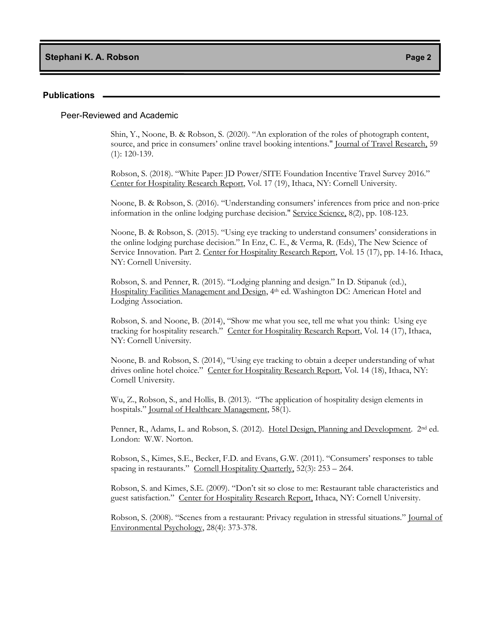**Stephani K. A. Robson Page 2**

#### **Publications**

#### Peer-Reviewed and Academic

Shin, Y., Noone, B. & Robson, S. (2020). "An exploration of the roles of photograph content, source, and price in consumers' online travel booking intentions." Journal of Travel Research, 59 (1): 120-139.

Robson, S. (2018). "White Paper: JD Power/SITE Foundation Incentive Travel Survey 2016." Center for Hospitality Research Report, Vol. 17 (19), Ithaca, NY: Cornell University.

Noone, B. & Robson, S. (2016). "Understanding consumers' inferences from price and non-price information in the online lodging purchase decision." Service Science, 8(2), pp. 108-123.

Noone, B. & Robson, S. (2015). "Using eye tracking to understand consumers' considerations in the online lodging purchase decision." In Enz, C. E., & Verma, R. (Eds), The New Science of Service Innovation. Part 2. Center for Hospitality Research Report, Vol. 15 (17), pp. 14-16. Ithaca, NY: Cornell University.

Robson, S. and Penner, R. (2015). "Lodging planning and design." In D. Stipanuk (ed.), Hospitality Facilities Management and Design, 4th ed. Washington DC: American Hotel and Lodging Association.

Robson, S. and Noone, B. (2014), "Show me what you see, tell me what you think: Using eye tracking for hospitality research." Center for Hospitality Research Report, Vol. 14 (17), Ithaca, NY: Cornell University.

Noone, B. and Robson, S. (2014), "Using eye tracking to obtain a deeper understanding of what drives online hotel choice." Center for Hospitality Research Report, Vol. 14 (18), Ithaca, NY: Cornell University.

Wu, Z., Robson, S., and Hollis, B. (2013). "The application of hospitality design elements in hospitals." Iournal of Healthcare Management, 58(1).

Penner, R., Adams, L. and Robson, S. (2012). Hotel Design, Planning and Development. 2<sup>nd</sup> ed. London: W.W. Norton.

Robson, S., Kimes, S.E., Becker, F.D. and Evans, G.W. (2011). "Consumers' responses to table spacing in restaurants." Cornell Hospitality Quarterly, 52(3): 253 – 264.

Robson, S. and Kimes, S.E. (2009). "Don't sit so close to me: Restaurant table characteristics and guest satisfaction." Center for Hospitality Research Report, Ithaca, NY: Cornell University.

Robson, S. (2008). "Scenes from a restaurant: Privacy regulation in stressful situations." Journal of Environmental Psychology, 28(4): 373-378.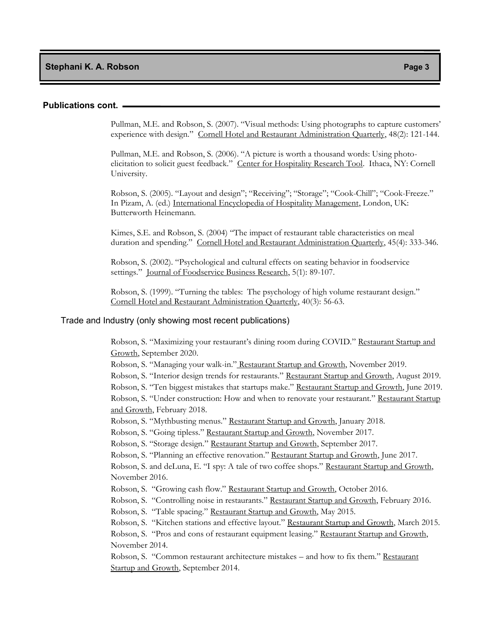#### **Publications cont.**

Pullman, M.E. and Robson, S. (2007). "Visual methods: Using photographs to capture customers' experience with design." Cornell Hotel and Restaurant Administration Quarterly, 48(2): 121-144.

Pullman, M.E. and Robson, S. (2006). "A picture is worth a thousand words: Using photoelicitation to solicit guest feedback." Center for Hospitality Research Tool. Ithaca, NY: Cornell University.

Robson, S. (2005). "Layout and design"; "Receiving"; "Storage"; "Cook-Chill"; "Cook-Freeze." In Pizam, A. (ed.) International Encyclopedia of Hospitality Management, London, UK: Butterworth Heinemann.

Kimes, S.E. and Robson, S. (2004) "The impact of restaurant table characteristics on meal duration and spending." Cornell Hotel and Restaurant Administration Quarterly, 45(4): 333-346.

Robson, S. (2002). "Psychological and cultural effects on seating behavior in foodservice settings." Journal of Foodservice Business Research, 5(1): 89-107.

Robson, S. (1999). "Turning the tables: The psychology of high volume restaurant design." Cornell Hotel and Restaurant Administration Quarterly, 40(3): 56-63.

#### Trade and Industry (only showing most recent publications)

Robson, S. "Maximizing your restaurant's dining room during COVID." Restaurant Startup and Growth, September 2020.

Robson, S. "Managing your walk-in." Restaurant Startup and Growth, November 2019.

Robson, S. "Interior design trends for restaurants." Restaurant Startup and Growth, August 2019. Robson, S. "Ten biggest mistakes that startups make." Restaurant Startup and Growth, June 2019. Robson, S. "Under construction: How and when to renovate your restaurant." Restaurant Startup and Growth, February 2018.

Robson, S. "Mythbusting menus." Restaurant Startup and Growth, January 2018.

Robson, S. "Going tipless." Restaurant Startup and Growth, November 2017.

Robson, S. "Storage design." Restaurant Startup and Growth, September 2017.

Robson, S. "Planning an effective renovation." Restaurant Startup and Growth, June 2017.

Robson, S. and deLuna, E. "I spy: A tale of two coffee shops." Restaurant Startup and Growth, November 2016.

Robson, S. "Growing cash flow." Restaurant Startup and Growth, October 2016.

Robson, S. "Controlling noise in restaurants." Restaurant Startup and Growth, February 2016.

Robson, S. "Table spacing." Restaurant Startup and Growth, May 2015.

Robson, S. "Kitchen stations and effective layout." Restaurant Startup and Growth, March 2015.

Robson, S. "Pros and cons of restaurant equipment leasing." Restaurant Startup and Growth, November 2014.

Robson, S. "Common restaurant architecture mistakes – and how to fix them." Restaurant Startup and Growth, September 2014.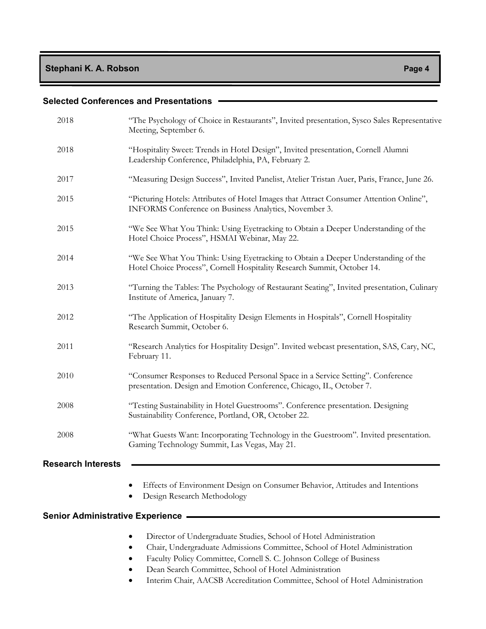| 2018                                      | "The Psychology of Choice in Restaurants", Invited presentation, Sysco Sales Representative<br>Meeting, September 6.                                         |
|-------------------------------------------|--------------------------------------------------------------------------------------------------------------------------------------------------------------|
| 2018                                      | "Hospitality Sweet: Trends in Hotel Design", Invited presentation, Cornell Alumni<br>Leadership Conference, Philadelphia, PA, February 2.                    |
| 2017                                      | "Measuring Design Success", Invited Panelist, Atelier Tristan Auer, Paris, France, June 26.                                                                  |
| 2015                                      | "Picturing Hotels: Attributes of Hotel Images that Attract Consumer Attention Online",<br>INFORMS Conference on Business Analytics, November 3.              |
| 2015                                      | "We See What You Think: Using Eyetracking to Obtain a Deeper Understanding of the<br>Hotel Choice Process", HSMAI Webinar, May 22.                           |
| 2014                                      | "We See What You Think: Using Eyetracking to Obtain a Deeper Understanding of the<br>Hotel Choice Process", Cornell Hospitality Research Summit, October 14. |
| 2013                                      | "Turning the Tables: The Psychology of Restaurant Seating", Invited presentation, Culinary<br>Institute of America, January 7.                               |
| 2012                                      | "The Application of Hospitality Design Elements in Hospitals", Cornell Hospitality<br>Research Summit, October 6.                                            |
| 2011                                      | "Research Analytics for Hospitality Design". Invited webcast presentation, SAS, Cary, NC,<br>February 11.                                                    |
| 2010                                      | "Consumer Responses to Reduced Personal Space in a Service Setting". Conference<br>presentation. Design and Emotion Conference, Chicago, IL, October 7.      |
| 2008                                      | "Testing Sustainability in Hotel Guestrooms". Conference presentation. Designing<br>Sustainability Conference, Portland, OR, October 22.                     |
| 2008                                      | "What Guests Want: Incorporating Technology in the Guestroom". Invited presentation.<br>Gaming Technology Summit, Las Vegas, May 21.                         |
| <b>Research Interests</b>                 |                                                                                                                                                              |
|                                           | Effects of Environment Design on Consumer Behavior, Attitudes and Intentions<br>$\bullet$<br>Design Research Methodology<br>$\bullet$                        |
| <b>Senior Administrative Experience -</b> |                                                                                                                                                              |

- Director of Undergraduate Studies, School of Hotel Administration
- Chair, Undergraduate Admissions Committee, School of Hotel Administration
- Faculty Policy Committee, Cornell S. C. Johnson College of Business
- Dean Search Committee, School of Hotel Administration
- Interim Chair, AACSB Accreditation Committee, School of Hotel Administration